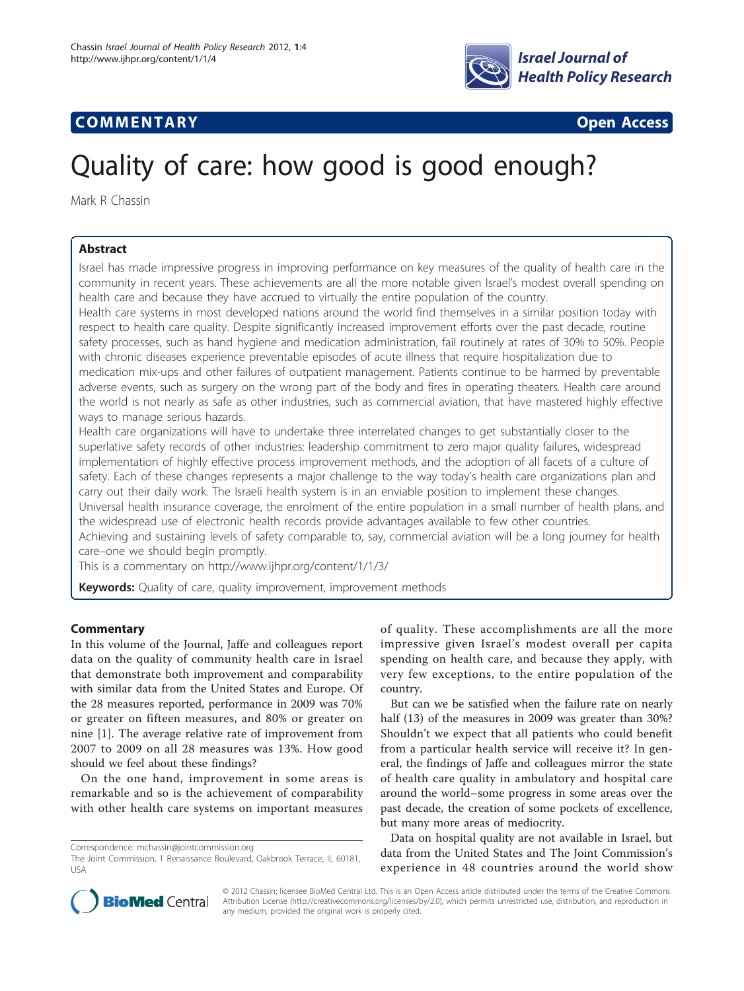

# **COMMENTARY COMMENTARY Open Access**

# Quality of care: how good is good enough?

Mark R Chassin

# Abstract

Israel has made impressive progress in improving performance on key measures of the quality of health care in the community in recent years. These achievements are all the more notable given Israel's modest overall spending on health care and because they have accrued to virtually the entire population of the country.

Health care systems in most developed nations around the world find themselves in a similar position today with respect to health care quality. Despite significantly increased improvement efforts over the past decade, routine safety processes, such as hand hygiene and medication administration, fail routinely at rates of 30% to 50%. People with chronic diseases experience preventable episodes of acute illness that require hospitalization due to medication mix-ups and other failures of outpatient management. Patients continue to be harmed by preventable adverse events, such as surgery on the wrong part of the body and fires in operating theaters. Health care around the world is not nearly as safe as other industries, such as commercial aviation, that have mastered highly effective ways to manage serious hazards.

Health care organizations will have to undertake three interrelated changes to get substantially closer to the superlative safety records of other industries: leadership commitment to zero major quality failures, widespread implementation of highly effective process improvement methods, and the adoption of all facets of a culture of safety. Each of these changes represents a major challenge to the way today's health care organizations plan and carry out their daily work. The Israeli health system is in an enviable position to implement these changes. Universal health insurance coverage, the enrolment of the entire population in a small number of health plans, and the widespread use of electronic health records provide advantages available to few other countries. Achieving and sustaining levels of safety comparable to, say, commercial aviation will be a long journey for health care–one we should begin promptly.

This is a commentary on<http://www.ijhpr.org/content/1/1/3/>

**Keywords:** Quality of care, quality improvement, improvement methods

# **Commentary**

In this volume of the Journal, Jaffe and colleagues report data on the quality of community health care in Israel that demonstrate both improvement and comparability with similar data from the United States and Europe. Of the 28 measures reported, performance in 2009 was 70% or greater on fifteen measures, and 80% or greater on nine [\[1\]](#page-3-0). The average relative rate of improvement from 2007 to 2009 on all 28 measures was 13%. How good should we feel about these findings?

On the one hand, improvement in some areas is remarkable and so is the achievement of comparability with other health care systems on important measures

Correspondence: [mchassin@jointcommission.org](mailto:mchassin@jointcommission.org)

of quality. These accomplishments are all the more impressive given Israel's modest overall per capita spending on health care, and because they apply, with very few exceptions, to the entire population of the country.

But can we be satisfied when the failure rate on nearly half (13) of the measures in 2009 was greater than 30%? Shouldn't we expect that all patients who could benefit from a particular health service will receive it? In general, the findings of Jaffe and colleagues mirror the state of health care quality in ambulatory and hospital care around the world–some progress in some areas over the past decade, the creation of some pockets of excellence, but many more areas of mediocrity.

Data on hospital quality are not available in Israel, but data from the United States and The Joint Commission's experience in 48 countries around the world show



© 2012 Chassin; licensee BioMed Central Ltd. This is an Open Access article distributed under the terms of the Creative Commons Attribution License [\(http://creativecommons.org/licenses/by/2.0](http://creativecommons.org/licenses/by/2.0)), which permits unrestricted use, distribution, and reproduction in any medium, provided the original work is properly cited.

The Joint Commission, 1 Renaissance Boulevard, Oakbrook Terrace, IL 60181, USA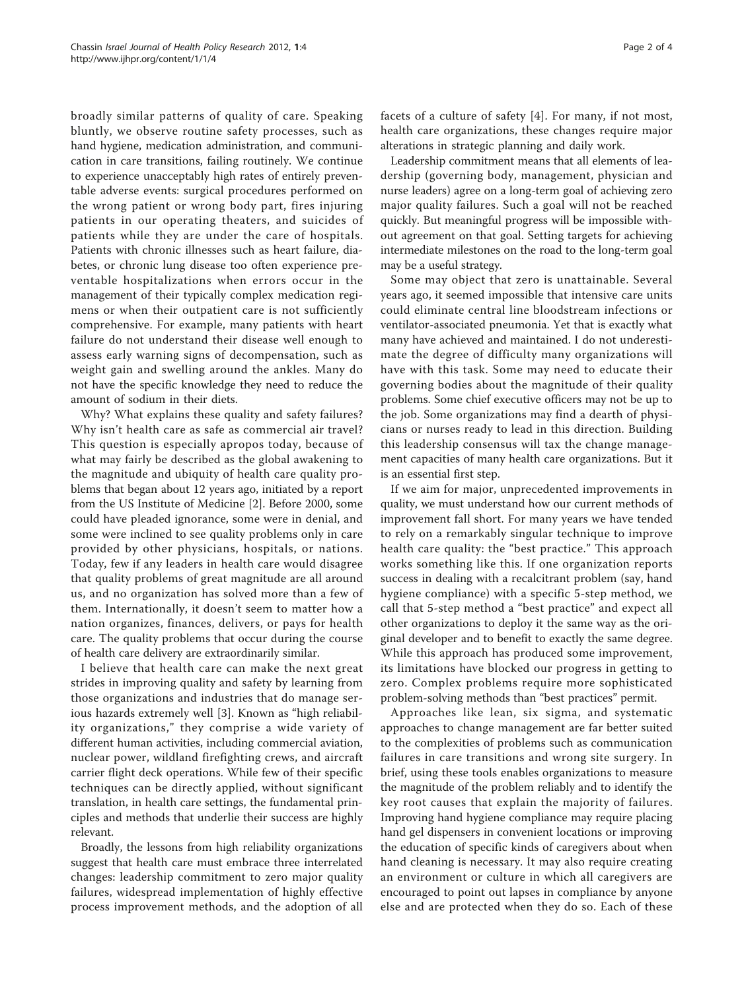broadly similar patterns of quality of care. Speaking bluntly, we observe routine safety processes, such as hand hygiene, medication administration, and communication in care transitions, failing routinely. We continue to experience unacceptably high rates of entirely preventable adverse events: surgical procedures performed on the wrong patient or wrong body part, fires injuring patients in our operating theaters, and suicides of patients while they are under the care of hospitals. Patients with chronic illnesses such as heart failure, diabetes, or chronic lung disease too often experience preventable hospitalizations when errors occur in the management of their typically complex medication regimens or when their outpatient care is not sufficiently comprehensive. For example, many patients with heart failure do not understand their disease well enough to assess early warning signs of decompensation, such as weight gain and swelling around the ankles. Many do not have the specific knowledge they need to reduce the amount of sodium in their diets.

Why? What explains these quality and safety failures? Why isn't health care as safe as commercial air travel? This question is especially apropos today, because of what may fairly be described as the global awakening to the magnitude and ubiquity of health care quality problems that began about 12 years ago, initiated by a report from the US Institute of Medicine [\[2](#page-3-0)]. Before 2000, some could have pleaded ignorance, some were in denial, and some were inclined to see quality problems only in care provided by other physicians, hospitals, or nations. Today, few if any leaders in health care would disagree that quality problems of great magnitude are all around us, and no organization has solved more than a few of them. Internationally, it doesn't seem to matter how a nation organizes, finances, delivers, or pays for health care. The quality problems that occur during the course of health care delivery are extraordinarily similar.

I believe that health care can make the next great strides in improving quality and safety by learning from those organizations and industries that do manage serious hazards extremely well [[3](#page-3-0)]. Known as "high reliability organizations," they comprise a wide variety of different human activities, including commercial aviation, nuclear power, wildland firefighting crews, and aircraft carrier flight deck operations. While few of their specific techniques can be directly applied, without significant translation, in health care settings, the fundamental principles and methods that underlie their success are highly relevant.

Broadly, the lessons from high reliability organizations suggest that health care must embrace three interrelated changes: leadership commitment to zero major quality failures, widespread implementation of highly effective process improvement methods, and the adoption of all

facets of a culture of safety [[4\]](#page-3-0). For many, if not most, health care organizations, these changes require major alterations in strategic planning and daily work.

Leadership commitment means that all elements of leadership (governing body, management, physician and nurse leaders) agree on a long-term goal of achieving zero major quality failures. Such a goal will not be reached quickly. But meaningful progress will be impossible without agreement on that goal. Setting targets for achieving intermediate milestones on the road to the long-term goal may be a useful strategy.

Some may object that zero is unattainable. Several years ago, it seemed impossible that intensive care units could eliminate central line bloodstream infections or ventilator-associated pneumonia. Yet that is exactly what many have achieved and maintained. I do not underestimate the degree of difficulty many organizations will have with this task. Some may need to educate their governing bodies about the magnitude of their quality problems. Some chief executive officers may not be up to the job. Some organizations may find a dearth of physicians or nurses ready to lead in this direction. Building this leadership consensus will tax the change management capacities of many health care organizations. But it is an essential first step.

If we aim for major, unprecedented improvements in quality, we must understand how our current methods of improvement fall short. For many years we have tended to rely on a remarkably singular technique to improve health care quality: the "best practice." This approach works something like this. If one organization reports success in dealing with a recalcitrant problem (say, hand hygiene compliance) with a specific 5-step method, we call that 5-step method a "best practice" and expect all other organizations to deploy it the same way as the original developer and to benefit to exactly the same degree. While this approach has produced some improvement, its limitations have blocked our progress in getting to zero. Complex problems require more sophisticated problem-solving methods than "best practices" permit.

Approaches like lean, six sigma, and systematic approaches to change management are far better suited to the complexities of problems such as communication failures in care transitions and wrong site surgery. In brief, using these tools enables organizations to measure the magnitude of the problem reliably and to identify the key root causes that explain the majority of failures. Improving hand hygiene compliance may require placing hand gel dispensers in convenient locations or improving the education of specific kinds of caregivers about when hand cleaning is necessary. It may also require creating an environment or culture in which all caregivers are encouraged to point out lapses in compliance by anyone else and are protected when they do so. Each of these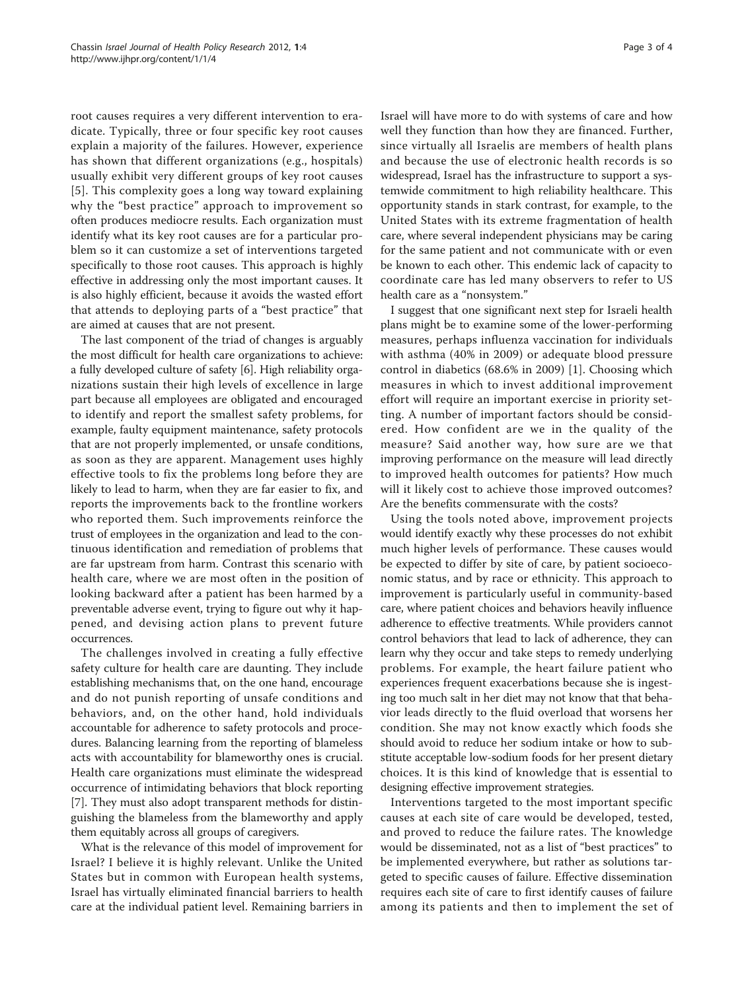root causes requires a very different intervention to eradicate. Typically, three or four specific key root causes explain a majority of the failures. However, experience has shown that different organizations (e.g., hospitals) usually exhibit very different groups of key root causes [[5](#page-3-0)]. This complexity goes a long way toward explaining why the "best practice" approach to improvement so often produces mediocre results. Each organization must identify what its key root causes are for a particular problem so it can customize a set of interventions targeted specifically to those root causes. This approach is highly effective in addressing only the most important causes. It is also highly efficient, because it avoids the wasted effort that attends to deploying parts of a "best practice" that are aimed at causes that are not present.

The last component of the triad of changes is arguably the most difficult for health care organizations to achieve: a fully developed culture of safety [\[6](#page-3-0)]. High reliability organizations sustain their high levels of excellence in large part because all employees are obligated and encouraged to identify and report the smallest safety problems, for example, faulty equipment maintenance, safety protocols that are not properly implemented, or unsafe conditions, as soon as they are apparent. Management uses highly effective tools to fix the problems long before they are likely to lead to harm, when they are far easier to fix, and reports the improvements back to the frontline workers who reported them. Such improvements reinforce the trust of employees in the organization and lead to the continuous identification and remediation of problems that are far upstream from harm. Contrast this scenario with health care, where we are most often in the position of looking backward after a patient has been harmed by a preventable adverse event, trying to figure out why it happened, and devising action plans to prevent future occurrences.

The challenges involved in creating a fully effective safety culture for health care are daunting. They include establishing mechanisms that, on the one hand, encourage and do not punish reporting of unsafe conditions and behaviors, and, on the other hand, hold individuals accountable for adherence to safety protocols and procedures. Balancing learning from the reporting of blameless acts with accountability for blameworthy ones is crucial. Health care organizations must eliminate the widespread occurrence of intimidating behaviors that block reporting [[7\]](#page-3-0). They must also adopt transparent methods for distinguishing the blameless from the blameworthy and apply them equitably across all groups of caregivers.

What is the relevance of this model of improvement for Israel? I believe it is highly relevant. Unlike the United States but in common with European health systems, Israel has virtually eliminated financial barriers to health care at the individual patient level. Remaining barriers in Israel will have more to do with systems of care and how well they function than how they are financed. Further, since virtually all Israelis are members of health plans and because the use of electronic health records is so widespread, Israel has the infrastructure to support a systemwide commitment to high reliability healthcare. This opportunity stands in stark contrast, for example, to the United States with its extreme fragmentation of health care, where several independent physicians may be caring for the same patient and not communicate with or even be known to each other. This endemic lack of capacity to coordinate care has led many observers to refer to US health care as a "nonsystem."

I suggest that one significant next step for Israeli health plans might be to examine some of the lower-performing measures, perhaps influenza vaccination for individuals with asthma (40% in 2009) or adequate blood pressure control in diabetics (68.6% in 2009) [\[1](#page-3-0)]. Choosing which measures in which to invest additional improvement effort will require an important exercise in priority setting. A number of important factors should be considered. How confident are we in the quality of the measure? Said another way, how sure are we that improving performance on the measure will lead directly to improved health outcomes for patients? How much will it likely cost to achieve those improved outcomes? Are the benefits commensurate with the costs?

Using the tools noted above, improvement projects would identify exactly why these processes do not exhibit much higher levels of performance. These causes would be expected to differ by site of care, by patient socioeconomic status, and by race or ethnicity. This approach to improvement is particularly useful in community-based care, where patient choices and behaviors heavily influence adherence to effective treatments. While providers cannot control behaviors that lead to lack of adherence, they can learn why they occur and take steps to remedy underlying problems. For example, the heart failure patient who experiences frequent exacerbations because she is ingesting too much salt in her diet may not know that that behavior leads directly to the fluid overload that worsens her condition. She may not know exactly which foods she should avoid to reduce her sodium intake or how to substitute acceptable low-sodium foods for her present dietary choices. It is this kind of knowledge that is essential to designing effective improvement strategies.

Interventions targeted to the most important specific causes at each site of care would be developed, tested, and proved to reduce the failure rates. The knowledge would be disseminated, not as a list of "best practices" to be implemented everywhere, but rather as solutions targeted to specific causes of failure. Effective dissemination requires each site of care to first identify causes of failure among its patients and then to implement the set of